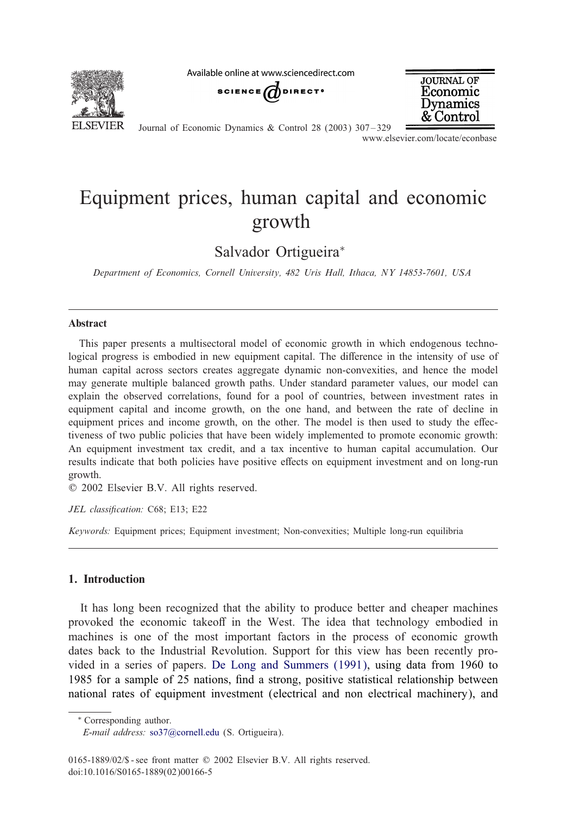

Available online at www.sciencedirect.com





Journal of Economic Dynamics & Control 28 (2003) 307 – 329 www.elsevier.com/locate/econbase

## Equipment prices, human capital and economic growth

Salvador Ortigueira<sup>∗</sup>

*Department of Economics, Cornell University, 482 Uris Hall, Ithaca, NY 14853-7601, USA*

## Abstract

This paper presents a multisectoral model of economic growth in which endogenous technological progress is embodied in new equipment capital. The difference in the intensity of use of human capital across sectors creates aggregate dynamic non-convexities, and hence the model may generate multiple balanced growth paths. Under standard parameter values, our model can explain the observed correlations, found for a pool of countries, between investment rates in equipment capital and income growth, on the one hand, and between the rate of decline in equipment prices and income growth, on the other. The model is then used to study the effectiveness of two public policies that have been widely implemented to promote economic growth: An equipment investment tax credit, and a tax incentive to human capital accumulation. Our results indicate that both policies have positive effects on equipment investment and on long-run growth.

? 2002 Elsevier B.V. All rights reserved.

JEL classification: C68; E13; E22

*Keywords:* Equipment prices; Equipment investment; Non-convexities; Multiple long-run equilibria

## 1. Introduction

It has long been recognized that the ability to produce better and cheaper machines provoked the economic takeoff in the West. The idea that technology embodied in machines is one of the most important factors in the process of economic growth dates back to t[he Industrial Re](mailto:so37@cornell.edu)volution. Support for this view has been recently provided in a series of papers. De Long and Summers (1991), using data from 1960 to 1985 for a sample of 25 nations, find a strong, positive statistical relationship between national rates of equipment investment (electrical and non electrical machinery), and

∗ Corresponding author.

*E-mail address:* so37@cornell.edu (S. Ortigueira).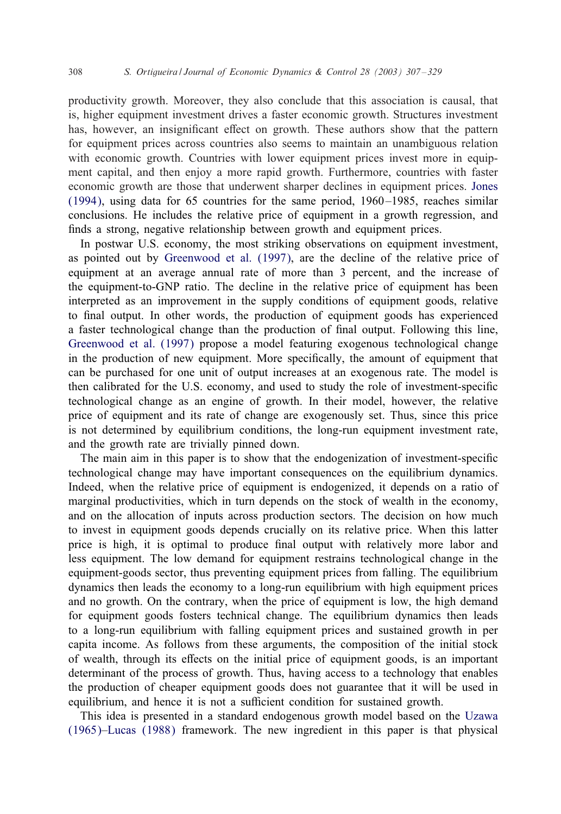productivity growth. Moreover, they also conclude that this association is causal, that is, higher equipment investment drives a faster economic growth. Structures inve[stment](#page--1-0) [has, ho](#page--1-0)wever, an insignificant effect on growth. These authors show that the pattern for equipment prices across countries also seems to maintain an unambiguous relation with economic growth. Countries with lower equipment prices invest more in equipment capital, and then enjoy a more rapid growth. Furthermore, countries with faster economic growth a[re those that underwent sh](#page--1-0)arper declines in equipment prices. Jones (1994), using data for 65 countries for the same period, 1960 –1985, reaches similar conclusions. He includes the relative price of equipment in a growth regression, and finds a strong, negative relationship between growth and equipment prices.

In postwar U.S. economy, the most striking observations on equipment investment, as pointed out by Greenwood et al. (1997), are the decline of the relative price of [equipment at an average](#page--1-0) annual rate of more than 3 percent, and the increase of the equipment-to-GNP ratio. The decline in the relative price of equipment has been interpreted as an improvement in the supply conditions of equipment goods, relative to final output. In other words, the production of equipment goods has experienced a faster technological change than the production of final output. Following this line, Greenwood et al. (1997) propose a model featuring exogenous technological change in the production of new equipment. More specifically, the amount of equipment that can be purchased for one unit of output increases at an exogenous rate. The model is then calibrated for the U.S. economy, and used to study the role of investment-specific technological change as an engine of growth. In their model, however, the relative price of equipment and its rate of change are exogenously set. Thus, since this price is not determined by equilibrium conditions, the long-run equipment investment rate, and the growth rate are trivially pinned down.

The main aim in this paper is to show that the endogenization of investment-specific technological change may have important consequences on the equilibrium dynamics. Indeed, when the relative price of equipment is endogenized, it depends on a ratio of marginal productivities, which in turn depends on the stock of wealth in the economy, and on the allocation of inputs across production sectors. The decision on how much to invest in equipment goods depends crucially on its relative price. When this latter price is high, it is optimal to produce final output with relatively more labor and less equipment. The low demand for equipment restrains technological change in the equipment-goods sector, thus preventing equipment prices from falling. The equilibrium dynamics then leads the economy to a long-run equilibrium with high equipment prices and no growth. On the contrary, when the price of equipment is low, the high demand for equipment goods fosters technical change. The equilibrium dynamics then leads to a long-run equilibrium with falling equipment prices and sustained growth in per capita income. As follows from these arguments, the composition of the initi[al stock](#page--1-0) [of wealth, through its](#page--1-0) effects on the initial price of equipment goods, is an important determinant of the process of growth. Thus, having access to a technology that enables the production of cheaper equipment goods does not guarantee that it will be used in equilibrium, and hence it is not a sufficient condition for sustained growth.

This idea is presented in a standard endogenous growth model based on the Uzawa (1965)–Lucas (1988) framework. The new ingredient in this paper is that physical